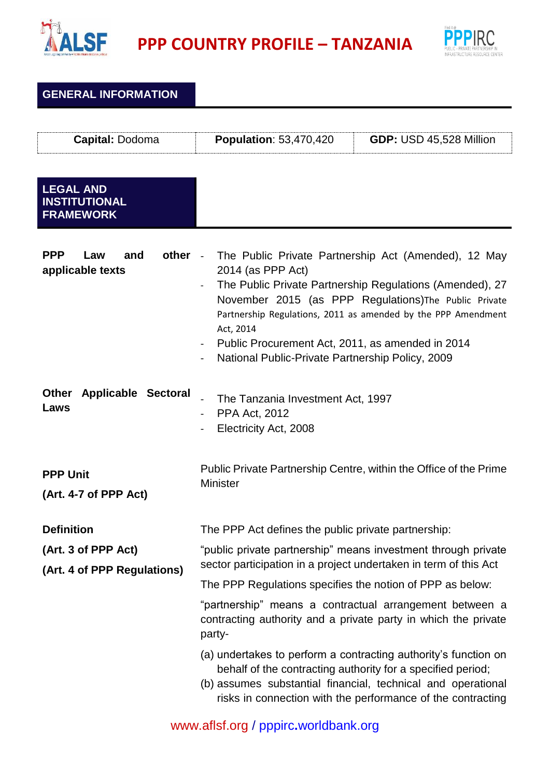

**PPP** COUNTRY PROFILE – TANZANIA



| <b>GENERAL INFORMATION</b>                                              |                                                                                                                                                                                                                                                                                                                                                                                      |                                                                                                                                                                                                                                                               |
|-------------------------------------------------------------------------|--------------------------------------------------------------------------------------------------------------------------------------------------------------------------------------------------------------------------------------------------------------------------------------------------------------------------------------------------------------------------------------|---------------------------------------------------------------------------------------------------------------------------------------------------------------------------------------------------------------------------------------------------------------|
| Capital: Dodoma                                                         | <b>Population: 53,470,420</b>                                                                                                                                                                                                                                                                                                                                                        | GDP: USD 45,528 Million                                                                                                                                                                                                                                       |
| <b>LEGAL AND</b><br><b>INSTITUTIONAL</b><br><b>FRAMEWORK</b>            |                                                                                                                                                                                                                                                                                                                                                                                      |                                                                                                                                                                                                                                                               |
| <b>PPP</b><br>other -<br>and<br>Law<br>applicable texts                 | The Public Private Partnership Act (Amended), 12 May<br>2014 (as PPP Act)<br>The Public Private Partnership Regulations (Amended), 27<br>November 2015 (as PPP Regulations) The Public Private<br>Partnership Regulations, 2011 as amended by the PPP Amendment<br>Act, 2014<br>Public Procurement Act, 2011, as amended in 2014<br>National Public-Private Partnership Policy, 2009 |                                                                                                                                                                                                                                                               |
| <b>Other</b><br><b>Applicable Sectoral</b><br>Laws                      | The Tanzania Investment Act, 1997<br><b>PPA Act, 2012</b><br>Electricity Act, 2008                                                                                                                                                                                                                                                                                                   |                                                                                                                                                                                                                                                               |
| <b>PPP Unit</b><br>(Art. 4-7 of PPP Act)                                | <b>Minister</b>                                                                                                                                                                                                                                                                                                                                                                      | Public Private Partnership Centre, within the Office of the Prime                                                                                                                                                                                             |
| <b>Definition</b><br>(Art. 3 of PPP Act)<br>(Art. 4 of PPP Regulations) | The PPP Act defines the public private partnership:<br>sector participation in a project undertaken in term of this Act<br>The PPP Regulations specifies the notion of PPP as below:                                                                                                                                                                                                 | "public private partnership" means investment through private<br>"partnership" means a contractual arrangement between a<br>contracting authority and a private party in which the private                                                                    |
|                                                                         | party-                                                                                                                                                                                                                                                                                                                                                                               | (a) undertakes to perform a contracting authority's function on<br>behalf of the contracting authority for a specified period;<br>(b) assumes substantial financial, technical and operational<br>risks in connection with the performance of the contracting |

[www.aflsf.org](http://www.aflsf.org/) / pppirc**.**[worldbank.org](https://ppp.worldbank.org/public-private-partnership/)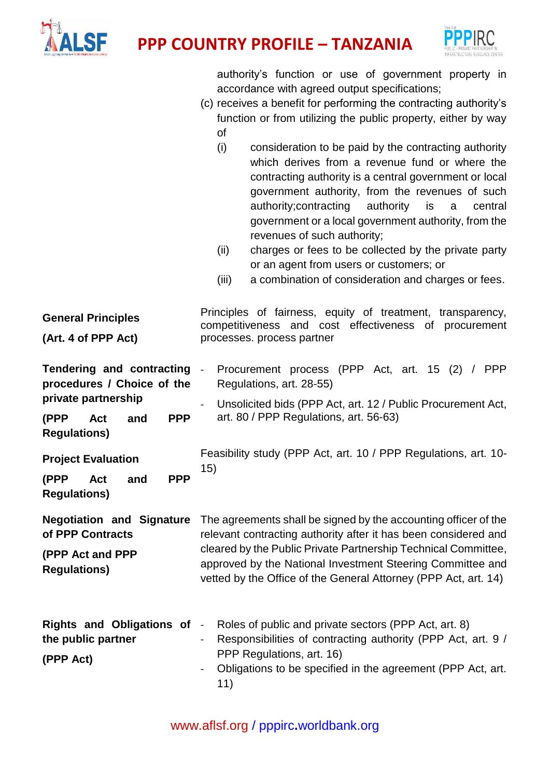



authority's function or use of government property in accordance with agreed output specifications;

- (c) receives a benefit for performing the contracting authority's function or from utilizing the public property, either by way of
	- (i) consideration to be paid by the contracting authority which derives from a revenue fund or where the contracting authority is a central government or local government authority, from the revenues of such authority;contracting authority is a central government or a local government authority, from the revenues of such authority;
	- (ii) charges or fees to be collected by the private party or an agent from users or customers; or
	- (iii) a combination of consideration and charges or fees.

| <b>General Principles</b><br>(Art. 4 of PPP Act)                                                                                                                                                                                    | Principles of fairness, equity of treatment, transparency,<br>competitiveness and cost effectiveness of procurement<br>processes. process partner                                                                                                                                                                                     |
|-------------------------------------------------------------------------------------------------------------------------------------------------------------------------------------------------------------------------------------|---------------------------------------------------------------------------------------------------------------------------------------------------------------------------------------------------------------------------------------------------------------------------------------------------------------------------------------|
| Tendering and contracting -<br>procedures / Choice of the<br>private partnership<br><b>PPP</b><br>(PPP<br>Act<br>and<br><b>Regulations)</b><br><b>Project Evaluation</b><br><b>PPP</b><br>(PPP<br>Act<br>and<br><b>Regulations)</b> | Procurement process (PPP Act, art. 15 (2) / PPP<br>Regulations, art. 28-55)<br>Unsolicited bids (PPP Act, art. 12 / Public Procurement Act,<br>art. 80 / PPP Regulations, art. 56-63)<br>Feasibility study (PPP Act, art. 10 / PPP Regulations, art. 10-<br>15)                                                                       |
| <b>Negotiation and Signature</b><br>of PPP Contracts<br>(PPP Act and PPP<br><b>Regulations)</b>                                                                                                                                     | The agreements shall be signed by the accounting officer of the<br>relevant contracting authority after it has been considered and<br>cleared by the Public Private Partnership Technical Committee,<br>approved by the National Investment Steering Committee and<br>vetted by the Office of the General Attorney (PPP Act, art. 14) |
| Rights and Obligations of -<br>the public partner<br>(PPP Act)                                                                                                                                                                      | Roles of public and private sectors (PPP Act, art. 8)<br>Responsibilities of contracting authority (PPP Act, art. 9 /<br>$\blacksquare$<br>PPP Regulations, art. 16)<br>Obligations to be specified in the agreement (PPP Act, art.<br>11)                                                                                            |